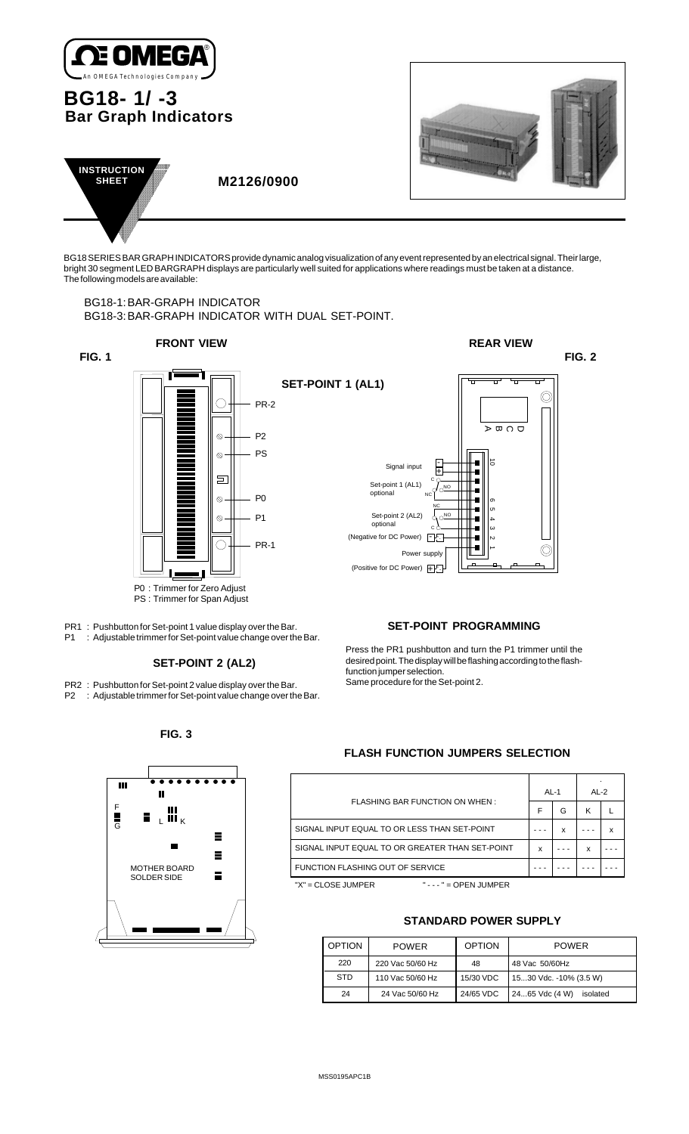

# **BG18- 1/ -3 Bar Graph Indicators**





 **M2126/0900**

BG18 SERIES BAR GRAPH INDICATORS provide dynamic analog visualization of any event represented by an electrical signal. Their large, bright 30 segment LED BARGRAPH displays are particularly well suited for applications where readings must be taken at a distance. The following models are available:

#### BG18-1:BAR-GRAPH INDICATOR BG18-3:BAR-GRAPH INDICATOR WITH DUAL SET-POINT.



P0 : Trimmer for Zero Adjust PS : Trimmer for Span Adjust

PR1 : Pushbutton for Set-point 1 value display over the Bar. P1 : Adjustable trimmer for Set-point value change over the Bar.

## **SET-POINT 2 (AL2)**

- PR2 : Pushbutton for Set-point 2 value display over the Bar.
- P2 : Adjustable trimmer for Set-point value change over the Bar.

### **SET-POINT PROGRAMMING**

Press the PR1 pushbutton and turn the P1 trimmer until the desired point. The display will be flashing according to the flashfunction jumper selection.

Same procedure for the Set-point 2.

#### **FIG. 3**



## **FLASH FUNCTION JUMPERS SELECTION**

|                                                 | AL-1 |   | AI $-2$ |   |
|-------------------------------------------------|------|---|---------|---|
| FLASHING BAR FUNCTION ON WHEN:                  |      | G | κ       |   |
| SIGNAL INPUT EQUAL TO OR LESS THAN SET-POINT    |      | x |         | x |
| SIGNAL INPUT EQUAL TO OR GREATER THAN SET-POINT | x    |   | x       |   |
| FUNCTION FLASHING OUT OF SERVICE                |      |   |         |   |
| $'X' = CLOSE JUMPER$<br>$- - - =$ OPEN JUMPER   |      |   |         |   |

#### **STANDARD POWER SUPPLY**

| <b>OPTION</b> | <b>POWER</b>     | <b>OPTION</b>        | <b>POWER</b>               |  |  |
|---------------|------------------|----------------------|----------------------------|--|--|
| 220           | 220 Vac 50/60 Hz | 48 Vac 50/60Hz<br>48 |                            |  |  |
| <b>STD</b>    | 110 Vac 50/60 Hz | 15/30 VDC            | 1530 Vdc. -10% (3.5 W)     |  |  |
| 24            | 24 Vac 50/60 Hz  | 24/65 VDC            | 2465 Vdc (4 W)<br>isolated |  |  |